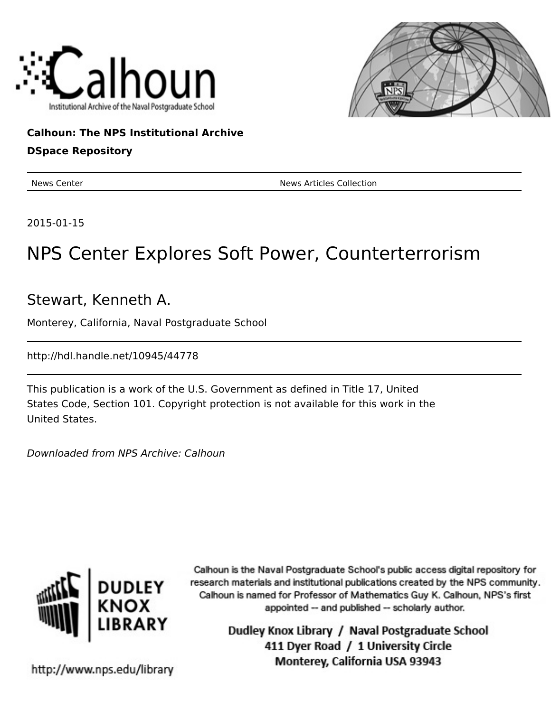



## **Calhoun: The NPS Institutional Archive**

### **DSpace Repository**

News Center News Articles Collection

2015-01-15

# NPS Center Explores Soft Power, Counterterrorism

Stewart, Kenneth A.

Monterey, California, Naval Postgraduate School

http://hdl.handle.net/10945/44778

This publication is a work of the U.S. Government as defined in Title 17, United States Code, Section 101. Copyright protection is not available for this work in the United States.

Downloaded from NPS Archive: Calhoun



Calhoun is the Naval Postgraduate School's public access digital repository for research materials and institutional publications created by the NPS community. Calhoun is named for Professor of Mathematics Guy K. Calhoun, NPS's first appointed -- and published -- scholarly author.

> Dudley Knox Library / Naval Postgraduate School 411 Dyer Road / 1 University Circle Monterey, California USA 93943

http://www.nps.edu/library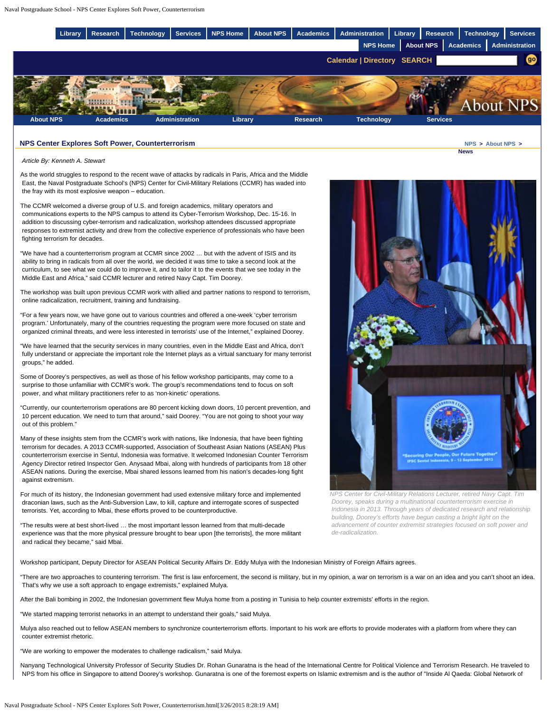

#### **NPS Center Explores Soft Power, Counterterrorism [NPS](http://www.nps.edu/index.html) > [About NPS](http://www.nps.edu/About/index.html) >**

 *Article By: Kenneth A. Stewart*

As the world struggles to respond to the recent wave of attacks by radicals in Paris, Africa and the Middle East, the Naval Postgraduate School's (NPS) Center for Civil-Military Relations (CCMR) has waded into the fray with its most explosive weapon – education.

The CCMR welcomed a diverse group of U.S. and foreign academics, military operators and communications experts to the NPS campus to attend its Cyber-Terrorism Workshop, Dec. 15-16. In addition to discussing cyber-terrorism and radicalization, workshop attendees discussed appropriate responses to extremist activity and drew from the collective experience of professionals who have been fighting terrorism for decades.

"We have had a counterterrorism program at CCMR since 2002 … but with the advent of ISIS and its ability to bring in radicals from all over the world, we decided it was time to take a second look at the curriculum, to see what we could do to improve it, and to tailor it to the events that we see today in the Middle East and Africa," said CCMR lecturer and retired Navy Capt. Tim Doorey.

The workshop was built upon previous CCMR work with allied and partner nations to respond to terrorism, online radicalization, recruitment, training and fundraising.

"For a few years now, we have gone out to various countries and offered a one-week 'cyber terrorism program.' Unfortunately, many of the countries requesting the program were more focused on state and organized criminal threats, and were less interested in terrorists' use of the Internet," explained Doorey.

"We have learned that the security services in many countries, even in the Middle East and Africa, don't fully understand or appreciate the important role the Internet plays as a virtual sanctuary for many terrorist groups," he added.

Some of Doorey's perspectives, as well as those of his fellow workshop participants, may come to a surprise to those unfamiliar with CCMR's work. The group's recommendations tend to focus on soft power, and what military practitioners refer to as 'non-kinetic' operations.

"Currently, our counterterrorism operations are 80 percent kicking down doors, 10 percent prevention, and 10 percent education. We need to turn that around," said Doorey. "You are not going to shoot your way out of this problem."

Many of these insights stem from the CCMR's work with nations, like Indonesia, that have been fighting terrorism for decades. A 2013 CCMR-supported, Association of Southeast Asian Nations (ASEAN) Plus counterterrorism exercise in Sentul, Indonesia was formative. It welcomed Indonesian Counter Terrorism Agency Director retired Inspector Gen. Anysaad Mbai, along with hundreds of participants from 18 other ASEAN nations. During the exercise, Mbai shared lessons learned from his nation's decades-long fight against extremism.

For much of its history, the Indonesian government had used extensive military force and implemented draconian laws, such as the Anti-Subversion Law, to kill, capture and interrogate scores of suspected terrorists. Yet, according to Mbai, these efforts proved to be counterproductive.

"The results were at best short-lived … the most important lesson learned from that multi-decade experience was that the more physical pressure brought to bear upon [the terrorists], the more militant and radical they became," said Mbai.



**News**

*NPS Center for Civil-Military Relations Lecturer, retired Navy Capt. Tim Doorey, speaks during a multinational counterterrorism exercise in Indonesia in 2013. Through years of dedicated research and relationship building, Doorey's efforts have begun casting a bright light on the advancement of counter extremist strategies focused on soft power and de-radicalization.*

Workshop participant, Deputy Director for ASEAN Political Security Affairs Dr. Eddy Mulya with the Indonesian Ministry of Foreign Affairs agrees.

"There are two approaches to countering terrorism. The first is law enforcement, the second is military, but in my opinion, a war on terrorism is a war on an idea and you can't shoot an idea. That's why we use a soft approach to engage extremists," explained Mulya.

After the Bali bombing in 2002, the Indonesian government flew Mulya home from a posting in Tunisia to help counter extremists' efforts in the region.

"We started mapping terrorist networks in an attempt to understand their goals," said Mulya.

Mulya also reached out to fellow ASEAN members to synchronize counterterrorism efforts. Important to his work are efforts to provide moderates with a platform from where they can counter extremist rhetoric.

"We are working to empower the moderates to challenge radicalism," said Mulya.

Nanyang Technological University Professor of Security Studies Dr. Rohan Gunaratna is the head of the International Centre for Political Violence and Terrorism Research. He traveled to NPS from his office in Singapore to attend Doorey's workshop. Gunaratna is one of the foremost experts on Islamic extremism and is the author of "Inside AI Qaeda: Global Network of